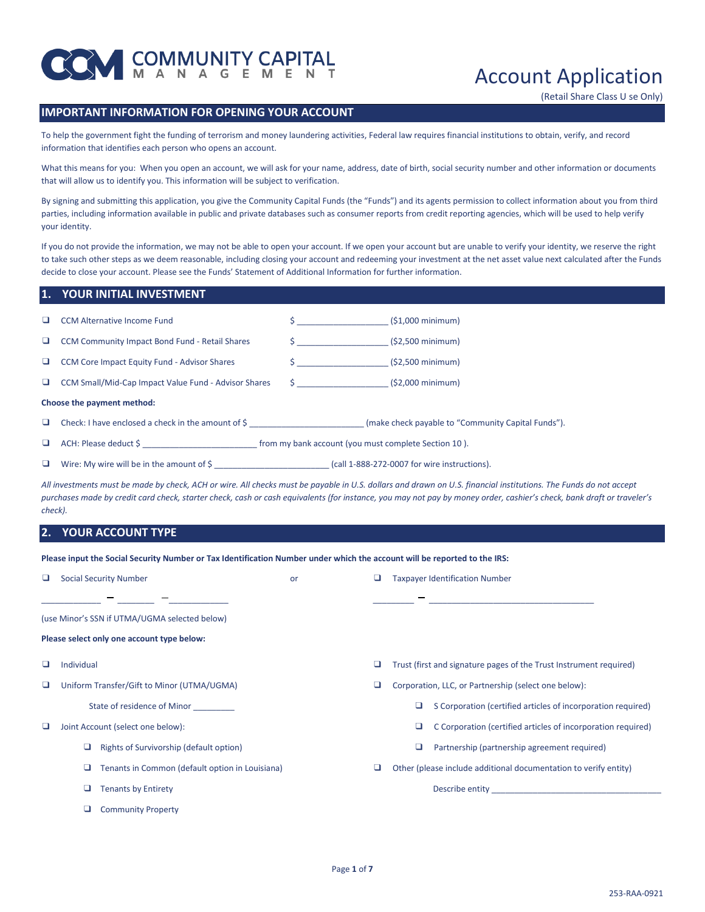

# Account Application

(Retail Share Class U se Only)

## **IMPORTANT INFORMATION FOR OPENING YOUR ACCOUNT**

To help the government fight the funding of terrorism and money laundering activities, Federal law requires financial institutions to obtain, verify, and record information that identifies each person who opens an account.

What this means for you: When you open an account, we will ask for your name, address, date of birth, social security number and other information or documents that will allow us to identify you. This information will be subject to verification.

By signing and submitting this application, you give the Community Capital Funds (the "Funds") and its agents permission to collect information about you from third parties, including information available in public and private databases such as consumer reports from credit reporting agencies, which will be used to help verify your identity.

If you do not provide the information, we may not be able to open your account. If we open your account but are unable to verify your identity, we reserve the right to take such other steps as we deem reasonable, including closing your account and redeeming your investment at the net asset value next calculated after the Funds decide to close your account. Please see the Funds' Statement of Additional Information for further information.

#### **1. YOUR INITIAL INVESTMENT**

| <b>CCM Alternative Income Fund</b>                                         | $\mathsf{S}$ and $\mathsf{S}$ and $\mathsf{S}$ and $\mathsf{S}$ and $\mathsf{S}$ and $\mathsf{S}$ and $\mathsf{S}$ and $\mathsf{S}$ and $\mathsf{S}$ and $\mathsf{S}$ and $\mathsf{S}$ and $\mathsf{S}$ and $\mathsf{S}$ and $\mathsf{S}$ and $\mathsf{S}$ and $\mathsf{S}$ and $\mathsf{S}$ and | $(51,000 \text{ minimum})$                         |
|----------------------------------------------------------------------------|--------------------------------------------------------------------------------------------------------------------------------------------------------------------------------------------------------------------------------------------------------------------------------------------------|----------------------------------------------------|
| <b>CCM Community Impact Bond Fund - Retail Shares</b>                      |                                                                                                                                                                                                                                                                                                  | $(52,500 \text{ minimum})$                         |
| CCM Core Impact Equity Fund - Advisor Shares                               | $\mathsf{S}$ and $\mathsf{S}$ and $\mathsf{S}$ are $\mathsf{S}$ and $\mathsf{S}$ and $\mathsf{S}$ are $\mathsf{S}$ and $\mathsf{S}$ are $\mathsf{S}$ and $\mathsf{S}$ are $\mathsf{S}$ and $\mathsf{S}$ are $\mathsf{S}$ and $\mathsf{S}$ are $\mathsf{S}$ and $\mathsf{S}$ are $\mathsf{S}$ and | $(52,500 \text{ minimum})$                         |
| CCM Small/Mid-Cap Impact Value Fund - Advisor Shares                       |                                                                                                                                                                                                                                                                                                  | $\frac{1}{2}$ (\$2,000 minimum)                    |
| Choose the payment method:                                                 |                                                                                                                                                                                                                                                                                                  |                                                    |
| Check: I have enclosed a check in the amount of $\zeta$                    |                                                                                                                                                                                                                                                                                                  | (make check payable to "Community Capital Funds"). |
| ACH: Please deduct \$ from my bank account (you must complete Section 10). |                                                                                                                                                                                                                                                                                                  |                                                    |
| Wire: My wire will be in the amount of $\frac{1}{2}$                       |                                                                                                                                                                                                                                                                                                  | (call 1-888-272-0007 for wire instructions).       |

*All investments must be made by check, ACH or wire. All checks must be payable in U.S. dollars and drawn on U.S. financial institutions. The Funds do not accept purchases made by credit card check, starter check, cash or cash equivalents (for instance, you may not pay by money order, cashier's check, bank draft or traveler's check).*

#### **2. YOUR ACCOUNT TYPE**

**Please input the Social Security Number or Tax Identification Number under which the account will be reported to the IRS:**

| u |                                               | <b>Social Security Number</b>                   | or |   |                                                      | <b>Taxpayer Identification Number</b>                              |  |
|---|-----------------------------------------------|-------------------------------------------------|----|---|------------------------------------------------------|--------------------------------------------------------------------|--|
|   |                                               |                                                 |    |   |                                                      |                                                                    |  |
|   | (use Minor's SSN if UTMA/UGMA selected below) |                                                 |    |   |                                                      |                                                                    |  |
|   |                                               | Please select only one account type below:      |    |   |                                                      |                                                                    |  |
|   | Individual                                    |                                                 |    | u |                                                      | Trust (first and signature pages of the Trust Instrument required) |  |
| u | Uniform Transfer/Gift to Minor (UTMA/UGMA)    |                                                 |    | ⊔ | Corporation, LLC, or Partnership (select one below): |                                                                    |  |
|   |                                               | State of residence of Minor                     |    |   | □                                                    | S Corporation (certified articles of incorporation required)       |  |
| u |                                               | Joint Account (select one below):               |    |   | ⊔                                                    | C Corporation (certified articles of incorporation required)       |  |
|   | □                                             | Rights of Survivorship (default option)         |    |   | ⊔                                                    | Partnership (partnership agreement required)                       |  |
|   | u                                             | Tenants in Common (default option in Louisiana) |    | ⊔ |                                                      | Other (please include additional documentation to verify entity)   |  |
|   |                                               | <b>Tenants by Entirety</b>                      |    |   |                                                      | Describe entity                                                    |  |
|   |                                               | <b>Community Property</b>                       |    |   |                                                      |                                                                    |  |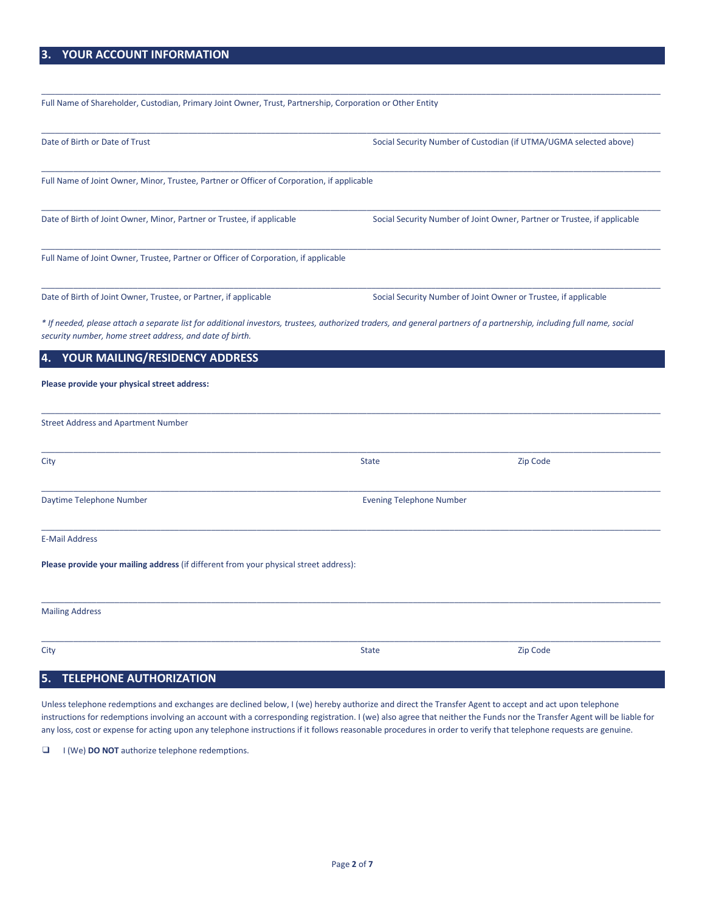# **3. YOUR ACCOUNT INFORMATION**

Full Name of Shareholder, Custodian, Primary Joint Owner, Trust, Partnership, Corporation or Other Entity

| Date of Birth or Date of Trust                                                                                                                                                                                                    |                                 | Social Security Number of Custodian (if UTMA/UGMA selected above)        |
|-----------------------------------------------------------------------------------------------------------------------------------------------------------------------------------------------------------------------------------|---------------------------------|--------------------------------------------------------------------------|
| Full Name of Joint Owner, Minor, Trustee, Partner or Officer of Corporation, if applicable                                                                                                                                        |                                 |                                                                          |
| Date of Birth of Joint Owner, Minor, Partner or Trustee, if applicable                                                                                                                                                            |                                 | Social Security Number of Joint Owner, Partner or Trustee, if applicable |
| Full Name of Joint Owner, Trustee, Partner or Officer of Corporation, if applicable                                                                                                                                               |                                 |                                                                          |
| Date of Birth of Joint Owner, Trustee, or Partner, if applicable                                                                                                                                                                  |                                 | Social Security Number of Joint Owner or Trustee, if applicable          |
| * If needed, please attach a separate list for additional investors, trustees, authorized traders, and general partners of a partnership, including full name, social<br>security number, home street address, and date of birth. |                                 |                                                                          |
| YOUR MAILING/RESIDENCY ADDRESS<br>4.                                                                                                                                                                                              |                                 |                                                                          |
| Please provide your physical street address:                                                                                                                                                                                      |                                 |                                                                          |
| <b>Street Address and Apartment Number</b>                                                                                                                                                                                        |                                 |                                                                          |
| City                                                                                                                                                                                                                              | <b>State</b>                    | Zip Code                                                                 |
| Daytime Telephone Number                                                                                                                                                                                                          | <b>Evening Telephone Number</b> |                                                                          |
| <b>E-Mail Address</b>                                                                                                                                                                                                             |                                 |                                                                          |
| Please provide your mailing address (if different from your physical street address):                                                                                                                                             |                                 |                                                                          |
| <b>Mailing Address</b>                                                                                                                                                                                                            |                                 |                                                                          |
| City                                                                                                                                                                                                                              | <b>State</b>                    | Zip Code                                                                 |

\_\_\_\_\_\_\_\_\_\_\_\_\_\_\_\_\_\_\_\_\_\_\_\_\_\_\_\_\_\_\_\_\_\_\_\_\_\_\_\_\_\_\_\_\_\_\_\_\_\_\_\_\_\_\_\_\_\_\_\_\_\_\_\_\_\_\_\_\_\_\_\_\_\_\_\_\_\_\_\_\_\_\_\_\_\_\_\_\_\_\_\_\_\_\_\_\_\_\_\_\_\_\_\_\_\_\_\_\_\_\_\_\_\_\_\_\_\_\_\_\_\_\_\_\_\_\_\_\_\_\_\_\_\_\_

# **5. TELEPHONE AUTHORIZATION**

Unless telephone redemptions and exchanges are declined below, I (we) hereby authorize and direct the Transfer Agent to accept and act upon telephone instructions for redemptions involving an account with a corresponding registration. I (we) also agree that neither the Funds nor the Transfer Agent will be liable for any loss, cost or expense for acting upon any telephone instructions if it follows reasonable procedures in order to verify that telephone requests are genuine.

❑ I (We) **DO NOT** authorize telephone redemptions.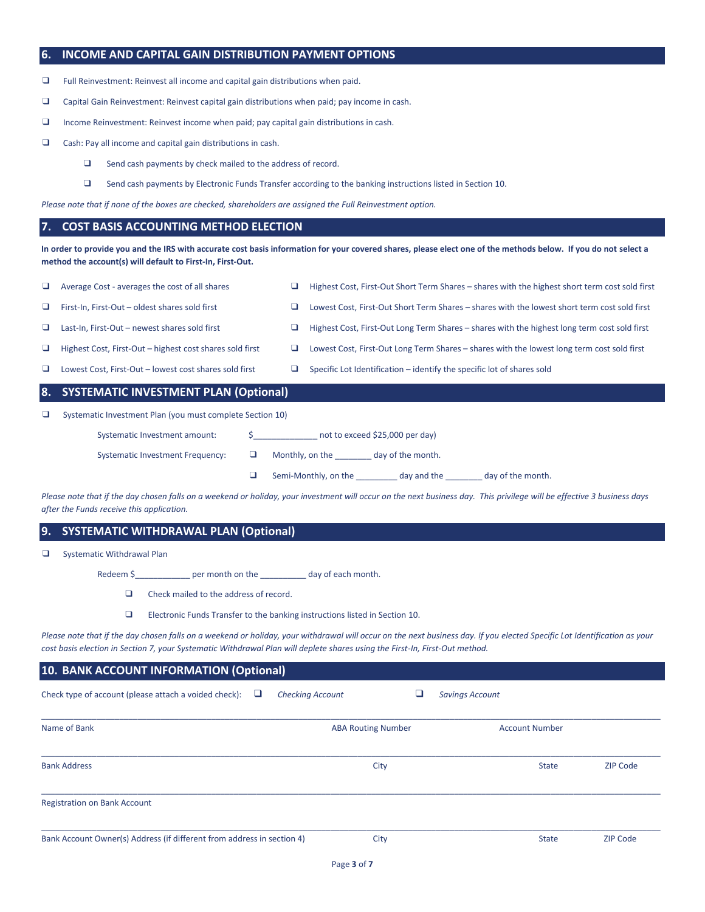#### **6. INCOME AND CAPITAL GAIN DISTRIBUTION PAYMENT OPTIONS**

❑ Full Reinvestment: Reinvest all income and capital gain distributions when paid.

- ❑ Capital Gain Reinvestment: Reinvest capital gain distributions when paid; pay income in cash.
- ❑ Income Reinvestment: Reinvest income when paid; pay capital gain distributions in cash.
- ❑ Cash: Pay all income and capital gain distributions in cash.
	- ❑ Send cash payments by check mailed to the address of record.
	- ❑ Send cash payments by Electronic Funds Transfer according to the banking instructions listed in Section 10.

*Please note that if none of the boxes are checked, shareholders are assigned the Full Reinvestment option.*

#### **7. COST BASIS ACCOUNTING METHOD ELECTION**

**In order to provide you and the IRS with accurate cost basis information for your covered shares, please elect one of the methods below. If you do not select a method the account(s) will default to First-In, First-Out.**

|        | Systematic Investment amount:                             | not to exceed \$25,000 per day)                                                                |
|--------|-----------------------------------------------------------|------------------------------------------------------------------------------------------------|
| □      | Systematic Investment Plan (you must complete Section 10) |                                                                                                |
|        | 8. SYSTEMATIC INVESTMENT PLAN (Optional)                  |                                                                                                |
| u.     | Lowest Cost, First-Out - lowest cost shares sold first    | Specific Lot Identification – identify the specific lot of shares sold                         |
| u.     | Highest Cost, First-Out – highest cost shares sold first  | Lowest Cost, First-Out Long Term Shares – shares with the lowest long term cost sold first     |
| $\Box$ | Last-In, First-Out - newest shares sold first             | Highest Cost, First-Out Long Term Shares – shares with the highest long term cost sold first   |
| u.     | First-In, First-Out - oldest shares sold first            | Lowest Cost, First-Out Short Term Shares - shares with the lowest short term cost sold first   |
|        | Average Cost - averages the cost of all shares            | Highest Cost, First-Out Short Term Shares – shares with the highest short term cost sold first |

|                                                                                                                                                                         | $\Box$ Semi-Monthly, on the day and the | day of the month. |
|-------------------------------------------------------------------------------------------------------------------------------------------------------------------------|-----------------------------------------|-------------------|
| Please note that if the day chosen falls on a weekend or holiday, your investment will occur on the next business day. This privilege will be effective 3 business days |                                         |                   |

#### *after the Funds receive this application.*

## **9. SYSTEMATIC WITHDRAWAL PLAN (Optional)**

| □ |  | <b>Systematic Withdrawal Plan</b> |  |
|---|--|-----------------------------------|--|
|---|--|-----------------------------------|--|

Redeem \$\_\_\_\_\_\_\_\_\_\_\_\_\_\_ per month on the \_\_\_\_\_\_\_\_\_\_\_ day of each month.

- ❑ Check mailed to the address of record.
- ❑ Electronic Funds Transfer to the banking instructions listed in Section 10.

Systematic Investment Frequency:  $□$  Monthly, on the \_\_\_\_\_\_\_ day of the month.

*Please note that if the day chosen falls on a weekend or holiday, your withdrawal will occur on the next business day. If you elected Specific Lot Identification as your cost basis election in Section 7, your Systematic Withdrawal Plan will deplete shares using the First-In, First-Out method.*

## **10. BANK ACCOUNT INFORMATION (Optional)**

| Check type of account (please attach a voided check):<br><b>Checking Account</b><br>⊔ |                           | <b>Savings Account</b> |                 |
|---------------------------------------------------------------------------------------|---------------------------|------------------------|-----------------|
| Name of Bank                                                                          | <b>ABA Routing Number</b> | <b>Account Number</b>  |                 |
| <b>Bank Address</b>                                                                   | City                      | <b>State</b>           | <b>ZIP Code</b> |
| <b>Registration on Bank Account</b>                                                   |                           |                        |                 |
| Bank Account Owner(s) Address (if different from address in section 4)                | City                      | <b>State</b>           | <b>ZIP Code</b> |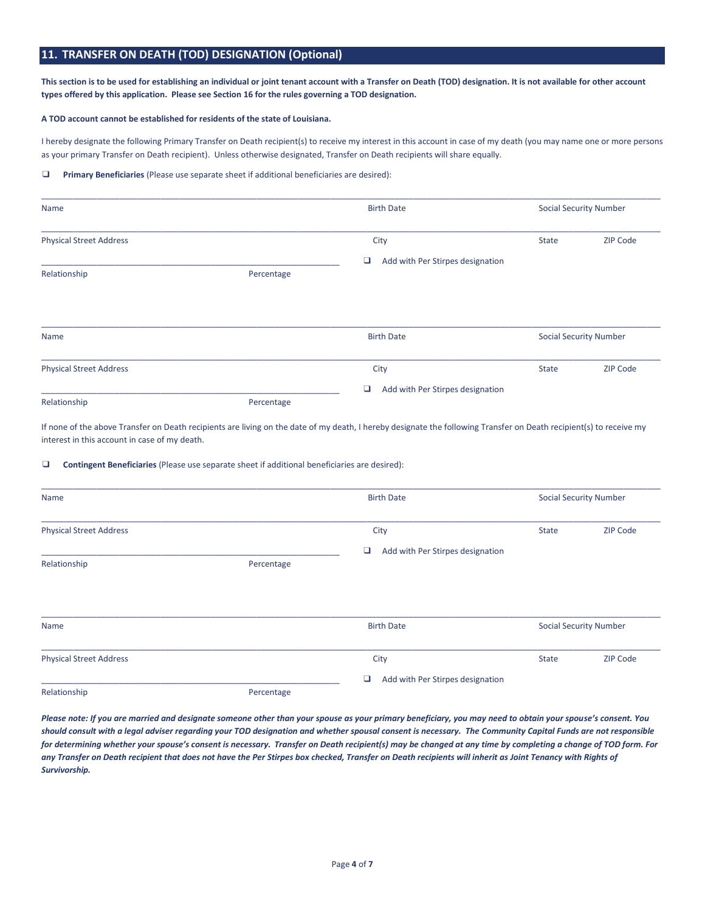## **11. TRANSFER ON DEATH (TOD) DESIGNATION (Optional)**

**This section is to be used for establishing an individual or joint tenant account with a Transfer on Death (TOD) designation. It is not available for other account types offered by this application. Please see Section 16 for the rules governing a TOD designation.**

#### **A TOD account cannot be established for residents of the state of Louisiana.**

I hereby designate the following Primary Transfer on Death recipient(s) to receive my interest in this account in case of my death (you may name one or more persons as your primary Transfer on Death recipient). Unless otherwise designated, Transfer on Death recipients will share equally.

#### ❑ **Primary Beneficiaries** (Please use separate sheet if additional beneficiaries are desired):

| Name                           |            | <b>Birth Date</b>                     |              | <b>Social Security Number</b> |
|--------------------------------|------------|---------------------------------------|--------------|-------------------------------|
| <b>Physical Street Address</b> |            | City                                  | <b>State</b> | <b>ZIP Code</b>               |
|                                |            | Add with Per Stirpes designation<br>❏ |              |                               |
| Relationship                   | Percentage |                                       |              |                               |
|                                |            |                                       |              |                               |
| Name                           |            | <b>Birth Date</b>                     |              | <b>Social Security Number</b> |
| <b>Physical Street Address</b> |            | City                                  | <b>State</b> | <b>ZIP Code</b>               |
|                                |            | О<br>Add with Per Stirpes designation |              |                               |
| Relationship                   | Percentage |                                       |              |                               |

If none of the above Transfer on Death recipients are living on the date of my death, I hereby designate the following Transfer on Death recipient(s) to receive my interest in this account in case of my death.

#### ❑ **Contingent Beneficiaries** (Please use separate sheet if additional beneficiaries are desired):

| Name                           |            | <b>Birth Date</b>                     | <b>Social Security Number</b> |                               |
|--------------------------------|------------|---------------------------------------|-------------------------------|-------------------------------|
| <b>Physical Street Address</b> |            | City                                  | <b>State</b>                  | <b>ZIP Code</b>               |
|                                |            | ❏<br>Add with Per Stirpes designation |                               |                               |
| Relationship                   | Percentage |                                       |                               |                               |
| Name                           |            | <b>Birth Date</b>                     |                               | <b>Social Security Number</b> |
| <b>Physical Street Address</b> |            | City                                  | <b>State</b>                  | ZIP Code                      |
|                                |            | ❏<br>Add with Per Stirpes designation |                               |                               |
| Relationship                   | Percentage |                                       |                               |                               |

*Please note: If you are married and designate someone other than your spouse as your primary beneficiary, you may need to obtain your spouse's consent. You should consult with a legal adviser regarding your TOD designation and whether spousal consent is necessary. The Community Capital Funds are not responsible for determining whether your spouse's consent is necessary. Transfer on Death recipient(s) may be changed at any time by completing a change of TOD form. For any Transfer on Death recipient that does not have the Per Stirpes box checked, Transfer on Death recipients will inherit as Joint Tenancy with Rights of Survivorship.*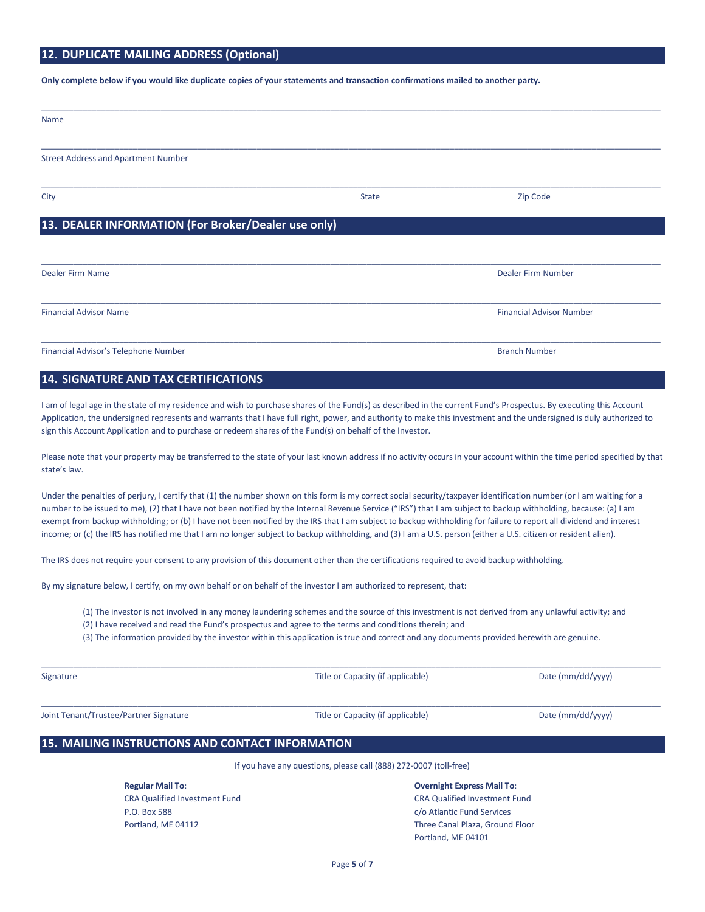# **12. DUPLICATE MAILING ADDRESS (Optional)**

**Only complete below if you would like duplicate copies of your statements and transaction confirmations mailed to another party.**

| Name                                                |              |                                 |
|-----------------------------------------------------|--------------|---------------------------------|
| <b>Street Address and Apartment Number</b>          |              |                                 |
| City                                                | <b>State</b> | Zip Code                        |
| 13. DEALER INFORMATION (For Broker/Dealer use only) |              |                                 |
| Dealer Firm Name                                    |              | Dealer Firm Number              |
| <b>Financial Advisor Name</b>                       |              | <b>Financial Advisor Number</b> |
| Financial Advisor's Telephone Number                |              | <b>Branch Number</b>            |

## **14. SIGNATURE AND TAX CERTIFICATIONS**

I am of legal age in the state of my residence and wish to purchase shares of the Fund(s) as described in the current Fund's Prospectus. By executing this Account Application, the undersigned represents and warrants that I have full right, power, and authority to make this investment and the undersigned is duly authorized to sign this Account Application and to purchase or redeem shares of the Fund(s) on behalf of the Investor.

Please note that your property may be transferred to the state of your last known address if no activity occurs in your account within the time period specified by that state's law.

Under the penalties of perjury, I certify that (1) the number shown on this form is my correct social security/taxpayer identification number (or I am waiting for a number to be issued to me), (2) that I have not been notified by the Internal Revenue Service ("IRS") that I am subject to backup withholding, because: (a) I am exempt from backup withholding; or (b) I have not been notified by the IRS that I am subject to backup withholding for failure to report all dividend and interest income; or (c) the IRS has notified me that I am no longer subject to backup withholding, and (3) I am a U.S. person (either a U.S. citizen or resident alien).

The IRS does not require your consent to any provision of this document other than the certifications required to avoid backup withholding.

By my signature below, I certify, on my own behalf or on behalf of the investor I am authorized to represent, that:

(1) The investor is not involved in any money laundering schemes and the source of this investment is not derived from any unlawful activity; and

\_\_\_\_\_\_\_\_\_\_\_\_\_\_\_\_\_\_\_\_\_\_\_\_\_\_\_\_\_\_\_\_\_\_\_\_\_\_\_\_\_\_\_\_\_\_\_\_\_\_\_\_\_\_\_\_\_\_\_\_\_\_\_\_\_\_\_\_\_\_\_\_\_\_\_\_\_\_\_\_\_\_\_\_\_\_\_\_\_\_\_\_\_\_\_\_\_\_\_\_\_\_\_\_\_\_\_\_\_\_\_\_\_\_\_\_\_\_\_\_\_\_\_\_\_\_\_\_\_\_\_\_\_\_\_

\_\_\_\_\_\_\_\_\_\_\_\_\_\_\_\_\_\_\_\_\_\_\_\_\_\_\_\_\_\_\_\_\_\_\_\_\_\_\_\_\_\_\_\_\_\_\_\_\_\_\_\_\_\_\_\_\_\_\_\_\_\_\_\_\_\_\_\_\_\_\_\_\_\_\_\_\_\_\_\_\_\_\_\_\_\_\_\_\_\_\_\_\_\_\_\_\_\_\_\_\_\_\_\_\_\_\_\_\_\_\_\_\_\_\_\_\_\_\_\_\_\_\_\_\_\_\_\_\_\_\_\_\_\_\_

(2) I have received and read the Fund's prospectus and agree to the terms and conditions therein; and

(3) The information provided by the investor within this application is true and correct and any documents provided herewith are genuine.

Signature Title or Capacity (if applicable) Date (mm/dd/yyyy) Date (mm/dd/yyyy)

Joint Tenant/Trustee/Partner Signature The Trustee Title or Capacity (if applicable) Date (mm/dd/yyyy)

## **15. MAILING INSTRUCTIONS AND CONTACT INFORMATION**

If you have any questions, please call (888) 272-0007 (toll-free)

P.O. Box 588 c/o Atlantic Fund Services

#### **Regular Mail To**: **Overnight Express Mail To**:

CRA Qualified Investment Fund CRA Qualified Investment Fund Portland, ME 04112 Three Canal Plaza, Ground Floor Portland, ME 04101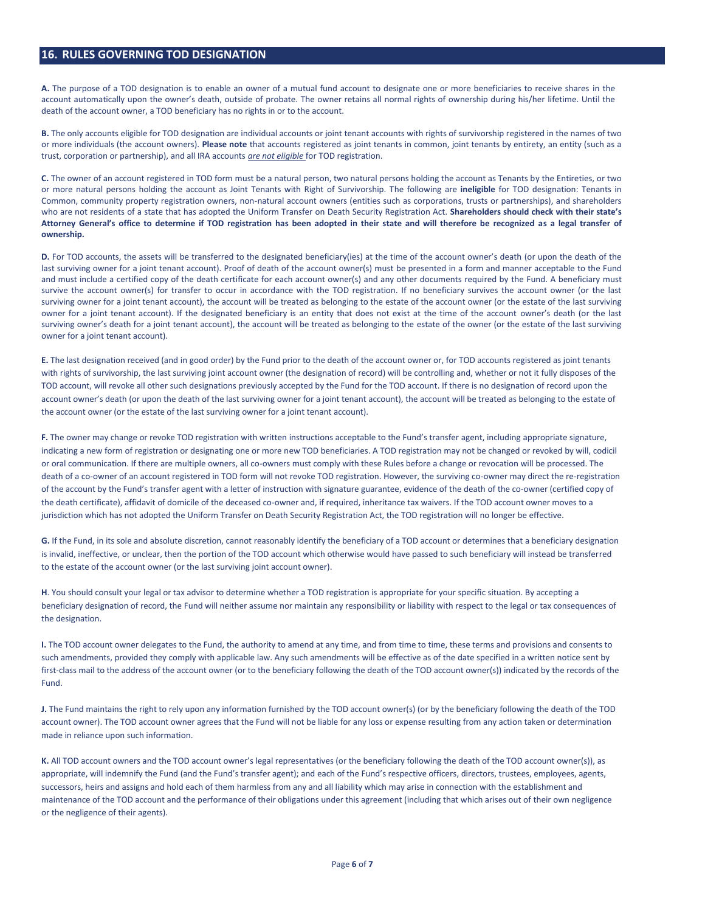#### **16. RULES GOVERNING TOD DESIGNATION**

**A.** The purpose of a TOD designation is to enable an owner of a mutual fund account to designate one or more beneficiaries to receive shares in the account automatically upon the owner's death, outside of probate. The owner retains all normal rights of ownership during his/her lifetime. Until the death of the account owner, a TOD beneficiary has no rights in or to the account.

**B.** The only accounts eligible for TOD designation are individual accounts or joint tenant accounts with rights of survivorship registered in the names of two or more individuals (the account owners). **Please note** that accounts registered as joint tenants in common, joint tenants by entirety, an entity (such as a trust, corporation or partnership), and all IRA accounts *are not eligible* for TOD registration.

**C.** The owner of an account registered in TOD form must be a natural person, two natural persons holding the account as Tenants by the Entireties, or two or more natural persons holding the account as Joint Tenants with Right of Survivorship. The following are **ineligible** for TOD designation: Tenants in Common, community property registration owners, non-natural account owners (entities such as corporations, trusts or partnerships), and shareholders who are not residents of a state that has adopted the Uniform Transfer on Death Security Registration Act. **Shareholders should check with their state's Attorney General's office to determine if TOD registration has been adopted in their state and will therefore be recognized as a legal transfer of ownership.**

**D.** For TOD accounts, the assets will be transferred to the designated beneficiary(ies) at the time of the account owner's death (or upon the death of the last surviving owner for a joint tenant account). Proof of death of the account owner(s) must be presented in a form and manner acceptable to the Fund and must include a certified copy of the death certificate for each account owner(s) and any other documents required by the Fund. A beneficiary must survive the account owner(s) for transfer to occur in accordance with the TOD registration. If no beneficiary survives the account owner (or the last surviving owner for a joint tenant account), the account will be treated as belonging to the estate of the account owner (or the estate of the last surviving owner for a joint tenant account). If the designated beneficiary is an entity that does not exist at the time of the account owner's death (or the last surviving owner's death for a joint tenant account), the account will be treated as belonging to the estate of the owner (or the estate of the last surviving owner for a joint tenant account).

**E.** The last designation received (and in good order) by the Fund prior to the death of the account owner or, for TOD accounts registered as joint tenants with rights of survivorship, the last surviving joint account owner (the designation of record) will be controlling and, whether or not it fully disposes of the TOD account, will revoke all other such designations previously accepted by the Fund for the TOD account. If there is no designation of record upon the account owner's death (or upon the death of the last surviving owner for a joint tenant account), the account will be treated as belonging to the estate of the account owner (or the estate of the last surviving owner for a joint tenant account).

**F.** The owner may change or revoke TOD registration with written instructions acceptable to the Fund's transfer agent, including appropriate signature, indicating a new form of registration or designating one or more new TOD beneficiaries. A TOD registration may not be changed or revoked by will, codicil or oral communication. If there are multiple owners, all co-owners must comply with these Rules before a change or revocation will be processed. The death of a co-owner of an account registered in TOD form will not revoke TOD registration. However, the surviving co-owner may direct the re-registration of the account by the Fund's transfer agent with a letter of instruction with signature guarantee, evidence of the death of the co-owner (certified copy of the death certificate), affidavit of domicile of the deceased co-owner and, if required, inheritance tax waivers. If the TOD account owner moves to a jurisdiction which has not adopted the Uniform Transfer on Death Security Registration Act, the TOD registration will no longer be effective.

**G.** If the Fund, in its sole and absolute discretion, cannot reasonably identify the beneficiary of a TOD account or determines that a beneficiary designation is invalid, ineffective, or unclear, then the portion of the TOD account which otherwise would have passed to such beneficiary will instead be transferred to the estate of the account owner (or the last surviving joint account owner).

**H**. You should consult your legal or tax advisor to determine whether a TOD registration is appropriate for your specific situation. By accepting a beneficiary designation of record, the Fund will neither assume nor maintain any responsibility or liability with respect to the legal or tax consequences of the designation.

**I.** The TOD account owner delegates to the Fund, the authority to amend at any time, and from time to time, these terms and provisions and consents to such amendments, provided they comply with applicable law. Any such amendments will be effective as of the date specified in a written notice sent by first-class mail to the address of the account owner (or to the beneficiary following the death of the TOD account owner(s)) indicated by the records of the Fund.

**J.** The Fund maintains the right to rely upon any information furnished by the TOD account owner(s) (or by the beneficiary following the death of the TOD account owner). The TOD account owner agrees that the Fund will not be liable for any loss or expense resulting from any action taken or determination made in reliance upon such information.

**K.** All TOD account owners and the TOD account owner's legal representatives (or the beneficiary following the death of the TOD account owner(s)), as appropriate, will indemnify the Fund (and the Fund's transfer agent); and each of the Fund's respective officers, directors, trustees, employees, agents, successors, heirs and assigns and hold each of them harmless from any and all liability which may arise in connection with the establishment and maintenance of the TOD account and the performance of their obligations under this agreement (including that which arises out of their own negligence or the negligence of their agents).